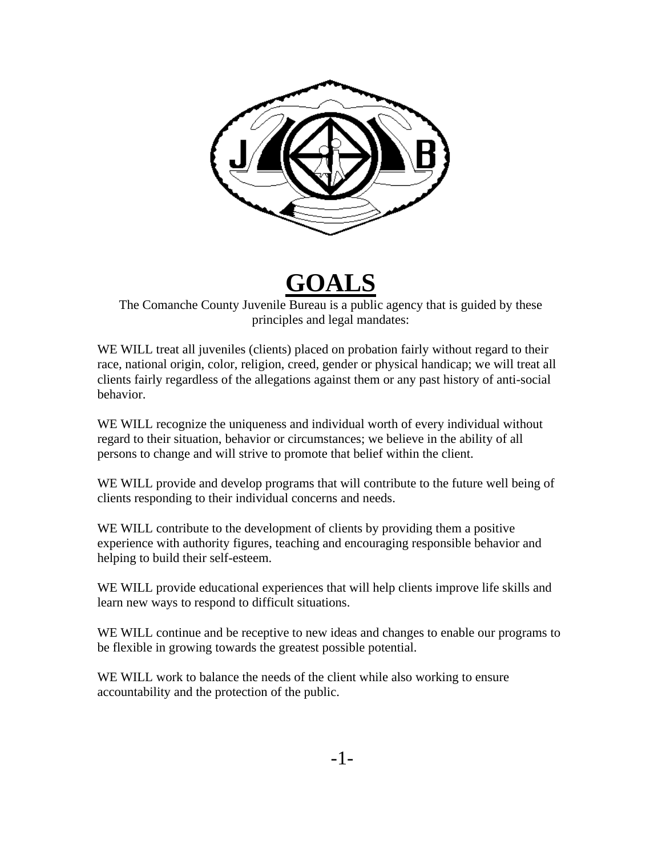

# **GOALS**

The Comanche County Juvenile Bureau is a public agency that is guided by these principles and legal mandates:

WE WILL treat all juveniles (clients) placed on probation fairly without regard to their race, national origin, color, religion, creed, gender or physical handicap; we will treat all clients fairly regardless of the allegations against them or any past history of anti-social behavior.

WE WILL recognize the uniqueness and individual worth of every individual without regard to their situation, behavior or circumstances; we believe in the ability of all persons to change and will strive to promote that belief within the client.

WE WILL provide and develop programs that will contribute to the future well being of clients responding to their individual concerns and needs.

WE WILL contribute to the development of clients by providing them a positive experience with authority figures, teaching and encouraging responsible behavior and helping to build their self-esteem.

WE WILL provide educational experiences that will help clients improve life skills and learn new ways to respond to difficult situations.

WE WILL continue and be receptive to new ideas and changes to enable our programs to be flexible in growing towards the greatest possible potential.

WE WILL work to balance the needs of the client while also working to ensure accountability and the protection of the public.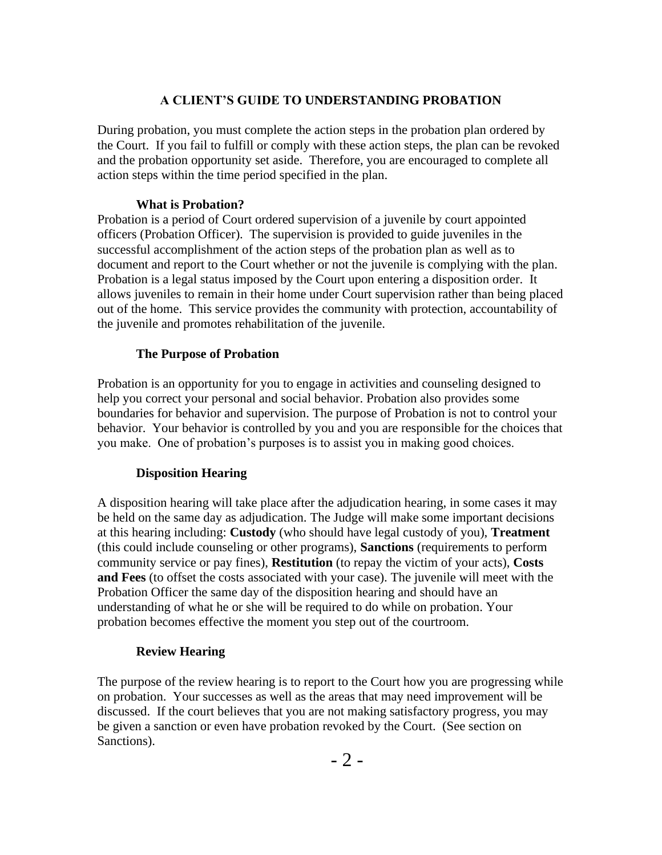#### **A CLIENT'S GUIDE TO UNDERSTANDING PROBATION**

During probation, you must complete the action steps in the probation plan ordered by the Court. If you fail to fulfill or comply with these action steps, the plan can be revoked and the probation opportunity set aside. Therefore, you are encouraged to complete all action steps within the time period specified in the plan.

#### **What is Probation?**

Probation is a period of Court ordered supervision of a juvenile by court appointed officers (Probation Officer). The supervision is provided to guide juveniles in the successful accomplishment of the action steps of the probation plan as well as to document and report to the Court whether or not the juvenile is complying with the plan. Probation is a legal status imposed by the Court upon entering a disposition order. It allows juveniles to remain in their home under Court supervision rather than being placed out of the home. This service provides the community with protection, accountability of the juvenile and promotes rehabilitation of the juvenile.

#### **The Purpose of Probation**

Probation is an opportunity for you to engage in activities and counseling designed to help you correct your personal and social behavior. Probation also provides some boundaries for behavior and supervision. The purpose of Probation is not to control your behavior. Your behavior is controlled by you and you are responsible for the choices that you make. One of probation's purposes is to assist you in making good choices.

#### **Disposition Hearing**

A disposition hearing will take place after the adjudication hearing, in some cases it may be held on the same day as adjudication. The Judge will make some important decisions at this hearing including: **Custody** (who should have legal custody of you), **Treatment** (this could include counseling or other programs), **Sanctions** (requirements to perform community service or pay fines), **Restitution** (to repay the victim of your acts), **Costs and Fees** (to offset the costs associated with your case). The juvenile will meet with the Probation Officer the same day of the disposition hearing and should have an understanding of what he or she will be required to do while on probation. Your probation becomes effective the moment you step out of the courtroom.

#### **Review Hearing**

The purpose of the review hearing is to report to the Court how you are progressing while on probation. Your successes as well as the areas that may need improvement will be discussed. If the court believes that you are not making satisfactory progress, you may be given a sanction or even have probation revoked by the Court. (See section on Sanctions).

- 2 -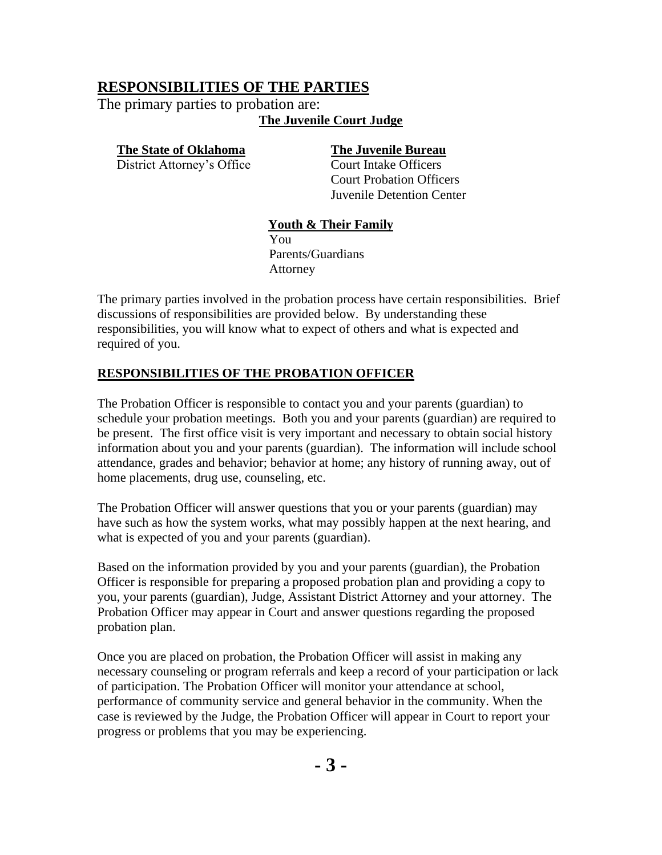## **RESPONSIBILITIES OF THE PARTIES**

The primary parties to probation are: **The Juvenile Court Judge**

#### **The State of Oklahoma The Juvenile Bureau**

District Attorney's Office Court Intake Officers

Court Probation Officers Juvenile Detention Center

#### **Youth & Their Family**

 You Parents/Guardians Attorney

The primary parties involved in the probation process have certain responsibilities. Brief discussions of responsibilities are provided below. By understanding these responsibilities, you will know what to expect of others and what is expected and required of you.

#### **RESPONSIBILITIES OF THE PROBATION OFFICER**

The Probation Officer is responsible to contact you and your parents (guardian) to schedule your probation meetings. Both you and your parents (guardian) are required to be present. The first office visit is very important and necessary to obtain social history information about you and your parents (guardian). The information will include school attendance, grades and behavior; behavior at home; any history of running away, out of home placements, drug use, counseling, etc.

The Probation Officer will answer questions that you or your parents (guardian) may have such as how the system works, what may possibly happen at the next hearing, and what is expected of you and your parents (guardian).

Based on the information provided by you and your parents (guardian), the Probation Officer is responsible for preparing a proposed probation plan and providing a copy to you, your parents (guardian), Judge, Assistant District Attorney and your attorney. The Probation Officer may appear in Court and answer questions regarding the proposed probation plan.

Once you are placed on probation, the Probation Officer will assist in making any necessary counseling or program referrals and keep a record of your participation or lack of participation. The Probation Officer will monitor your attendance at school, performance of community service and general behavior in the community. When the case is reviewed by the Judge, the Probation Officer will appear in Court to report your progress or problems that you may be experiencing.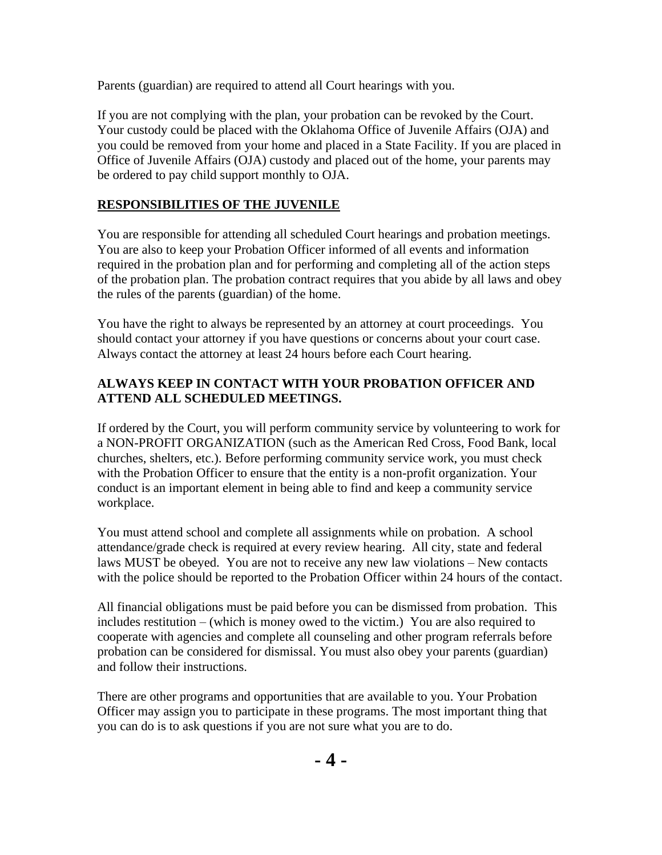Parents (guardian) are required to attend all Court hearings with you.

If you are not complying with the plan, your probation can be revoked by the Court. Your custody could be placed with the Oklahoma Office of Juvenile Affairs (OJA) and you could be removed from your home and placed in a State Facility. If you are placed in Office of Juvenile Affairs (OJA) custody and placed out of the home, your parents may be ordered to pay child support monthly to OJA.

### **RESPONSIBILITIES OF THE JUVENILE**

You are responsible for attending all scheduled Court hearings and probation meetings. You are also to keep your Probation Officer informed of all events and information required in the probation plan and for performing and completing all of the action steps of the probation plan. The probation contract requires that you abide by all laws and obey the rules of the parents (guardian) of the home.

You have the right to always be represented by an attorney at court proceedings. You should contact your attorney if you have questions or concerns about your court case. Always contact the attorney at least 24 hours before each Court hearing.

#### **ALWAYS KEEP IN CONTACT WITH YOUR PROBATION OFFICER AND ATTEND ALL SCHEDULED MEETINGS.**

If ordered by the Court, you will perform community service by volunteering to work for a NON-PROFIT ORGANIZATION (such as the American Red Cross, Food Bank, local churches, shelters, etc.). Before performing community service work, you must check with the Probation Officer to ensure that the entity is a non-profit organization. Your conduct is an important element in being able to find and keep a community service workplace.

You must attend school and complete all assignments while on probation. A school attendance/grade check is required at every review hearing. All city, state and federal laws MUST be obeyed. You are not to receive any new law violations – New contacts with the police should be reported to the Probation Officer within 24 hours of the contact.

All financial obligations must be paid before you can be dismissed from probation. This includes restitution – (which is money owed to the victim.) You are also required to cooperate with agencies and complete all counseling and other program referrals before probation can be considered for dismissal. You must also obey your parents (guardian) and follow their instructions.

There are other programs and opportunities that are available to you. Your Probation Officer may assign you to participate in these programs. The most important thing that you can do is to ask questions if you are not sure what you are to do.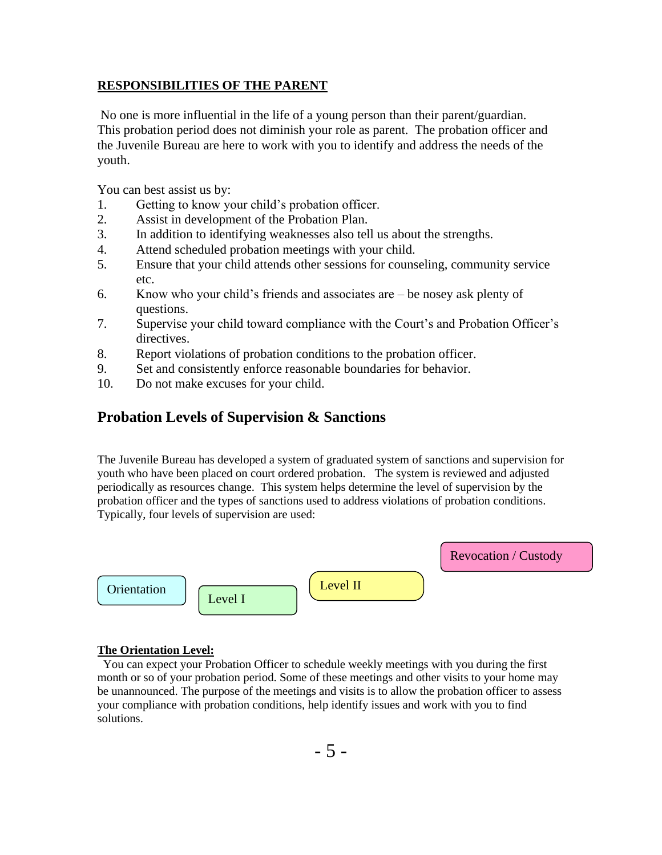#### **RESPONSIBILITIES OF THE PARENT**

No one is more influential in the life of a young person than their parent/guardian. This probation period does not diminish your role as parent. The probation officer and the Juvenile Bureau are here to work with you to identify and address the needs of the youth.

You can best assist us by:

- 1. Getting to know your child's probation officer.
- 2. Assist in development of the Probation Plan.
- 3. In addition to identifying weaknesses also tell us about the strengths.
- 4. Attend scheduled probation meetings with your child.
- 5. Ensure that your child attends other sessions for counseling, community service etc.
- 6. Know who your child's friends and associates are be nosey ask plenty of questions.
- 7. Supervise your child toward compliance with the Court's and Probation Officer's directives.
- 8. Report violations of probation conditions to the probation officer.
- 9. Set and consistently enforce reasonable boundaries for behavior.
- 10. Do not make excuses for your child.

### **Probation Levels of Supervision & Sanctions**

The Juvenile Bureau has developed a system of graduated system of sanctions and supervision for youth who have been placed on court ordered probation. The system is reviewed and adjusted periodically as resources change. This system helps determine the level of supervision by the probation officer and the types of sanctions used to address violations of probation conditions. Typically, four levels of supervision are used:



#### **The Orientation Level:**

 You can expect your Probation Officer to schedule weekly meetings with you during the first month or so of your probation period. Some of these meetings and other visits to your home may be unannounced. The purpose of the meetings and visits is to allow the probation officer to assess your compliance with probation conditions, help identify issues and work with you to find solutions.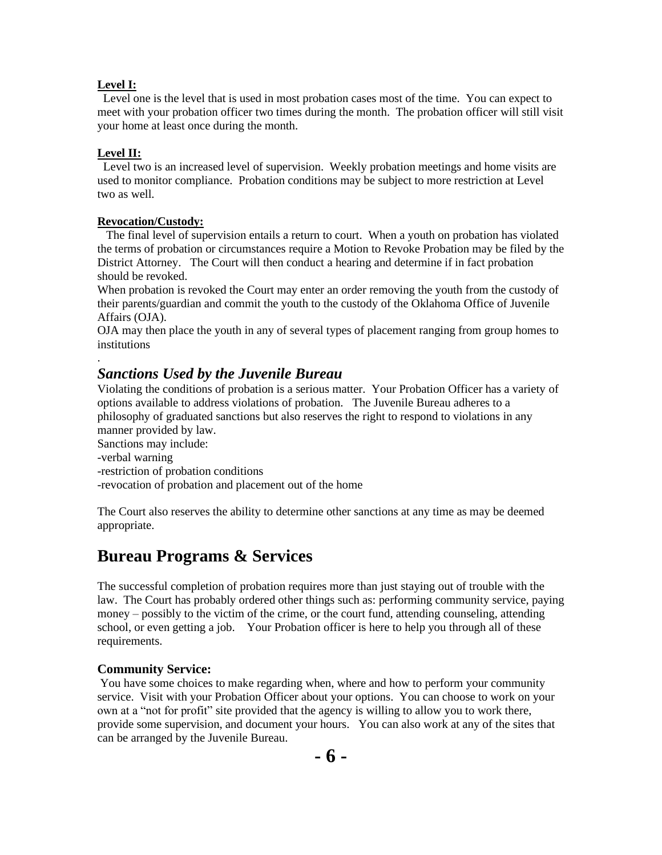#### **Level I:**

 Level one is the level that is used in most probation cases most of the time. You can expect to meet with your probation officer two times during the month. The probation officer will still visit your home at least once during the month.

#### **Level II:**

.

 Level two is an increased level of supervision. Weekly probation meetings and home visits are used to monitor compliance. Probation conditions may be subject to more restriction at Level two as well.

#### **Revocation/Custody:**

 The final level of supervision entails a return to court. When a youth on probation has violated the terms of probation or circumstances require a Motion to Revoke Probation may be filed by the District Attorney. The Court will then conduct a hearing and determine if in fact probation should be revoked.

When probation is revoked the Court may enter an order removing the youth from the custody of their parents/guardian and commit the youth to the custody of the Oklahoma Office of Juvenile Affairs (OJA).

OJA may then place the youth in any of several types of placement ranging from group homes to institutions

#### *Sanctions Used by the Juvenile Bureau*

Violating the conditions of probation is a serious matter. Your Probation Officer has a variety of options available to address violations of probation. The Juvenile Bureau adheres to a philosophy of graduated sanctions but also reserves the right to respond to violations in any manner provided by law.

Sanctions may include: -verbal warning -restriction of probation conditions -revocation of probation and placement out of the home

The Court also reserves the ability to determine other sanctions at any time as may be deemed appropriate.

## **Bureau Programs & Services**

The successful completion of probation requires more than just staying out of trouble with the law. The Court has probably ordered other things such as: performing community service, paying money – possibly to the victim of the crime, or the court fund, attending counseling, attending school, or even getting a job. Your Probation officer is here to help you through all of these requirements.

#### **Community Service:**

You have some choices to make regarding when, where and how to perform your community service. Visit with your Probation Officer about your options. You can choose to work on your own at a "not for profit" site provided that the agency is willing to allow you to work there, provide some supervision, and document your hours. You can also work at any of the sites that can be arranged by the Juvenile Bureau.

**- 6 -**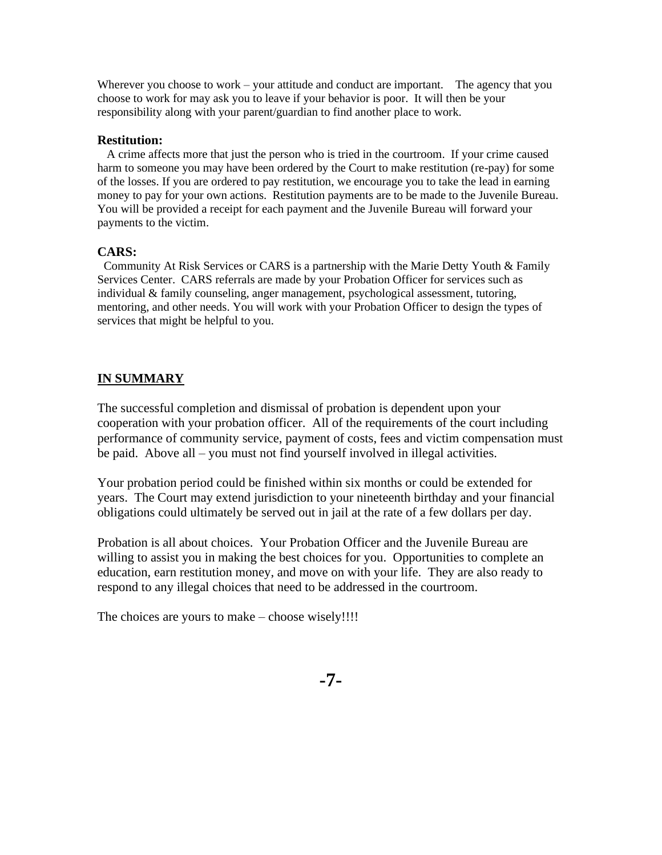Wherever you choose to work – your attitude and conduct are important. The agency that you choose to work for may ask you to leave if your behavior is poor. It will then be your responsibility along with your parent/guardian to find another place to work.

#### **Restitution:**

 A crime affects more that just the person who is tried in the courtroom. If your crime caused harm to someone you may have been ordered by the Court to make restitution (re-pay) for some of the losses. If you are ordered to pay restitution, we encourage you to take the lead in earning money to pay for your own actions. Restitution payments are to be made to the Juvenile Bureau. You will be provided a receipt for each payment and the Juvenile Bureau will forward your payments to the victim.

#### **CARS:**

Community At Risk Services or CARS is a partnership with the Marie Detty Youth & Family Services Center. CARS referrals are made by your Probation Officer for services such as individual & family counseling, anger management, psychological assessment, tutoring, mentoring, and other needs. You will work with your Probation Officer to design the types of services that might be helpful to you.

#### **IN SUMMARY**

The successful completion and dismissal of probation is dependent upon your cooperation with your probation officer. All of the requirements of the court including performance of community service, payment of costs, fees and victim compensation must be paid. Above all – you must not find yourself involved in illegal activities.

Your probation period could be finished within six months or could be extended for years. The Court may extend jurisdiction to your nineteenth birthday and your financial obligations could ultimately be served out in jail at the rate of a few dollars per day.

Probation is all about choices. Your Probation Officer and the Juvenile Bureau are willing to assist you in making the best choices for you. Opportunities to complete an education, earn restitution money, and move on with your life. They are also ready to respond to any illegal choices that need to be addressed in the courtroom.

The choices are yours to make – choose wisely!!!!

**-7-**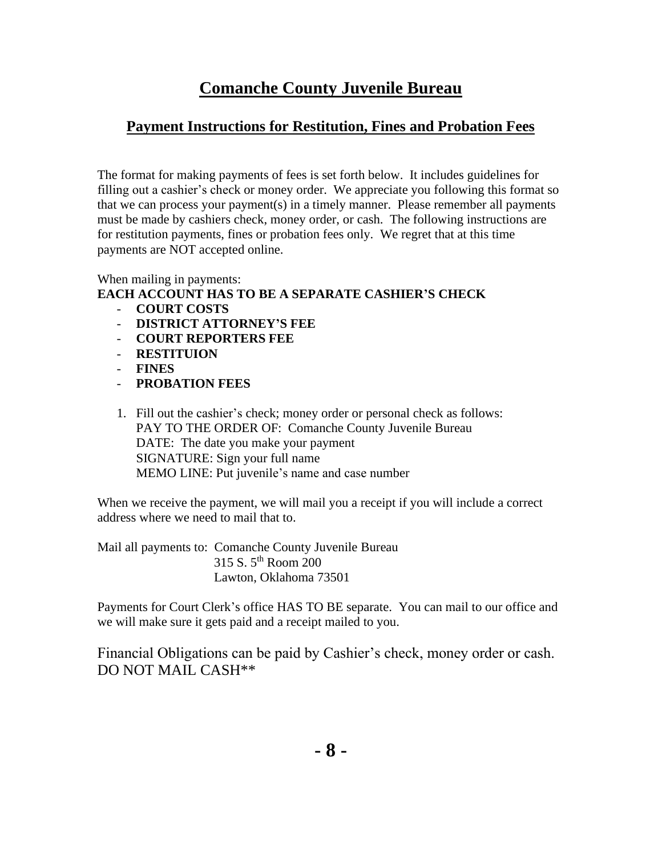## **Comanche County Juvenile Bureau**

## **Payment Instructions for Restitution, Fines and Probation Fees**

The format for making payments of fees is set forth below. It includes guidelines for filling out a cashier's check or money order. We appreciate you following this format so that we can process your payment(s) in a timely manner. Please remember all payments must be made by cashiers check, money order, or cash. The following instructions are for restitution payments, fines or probation fees only. We regret that at this time payments are NOT accepted online.

#### When mailing in payments: **EACH ACCOUNT HAS TO BE A SEPARATE CASHIER'S CHECK**

- **COURT COSTS**
- **DISTRICT ATTORNEY'S FEE**
- **COURT REPORTERS FEE**
- **RESTITUION**
- **FINES**
- **PROBATION FEES**
- 1. Fill out the cashier's check; money order or personal check as follows: PAY TO THE ORDER OF: Comanche County Juvenile Bureau DATE: The date you make your payment SIGNATURE: Sign your full name MEMO LINE: Put juvenile's name and case number

When we receive the payment, we will mail you a receipt if you will include a correct address where we need to mail that to.

Mail all payments to: Comanche County Juvenile Bureau 315 S. 5th Room 200 Lawton, Oklahoma 73501

Payments for Court Clerk's office HAS TO BE separate. You can mail to our office and we will make sure it gets paid and a receipt mailed to you.

Financial Obligations can be paid by Cashier's check, money order or cash. DO NOT MAIL CASH\*\*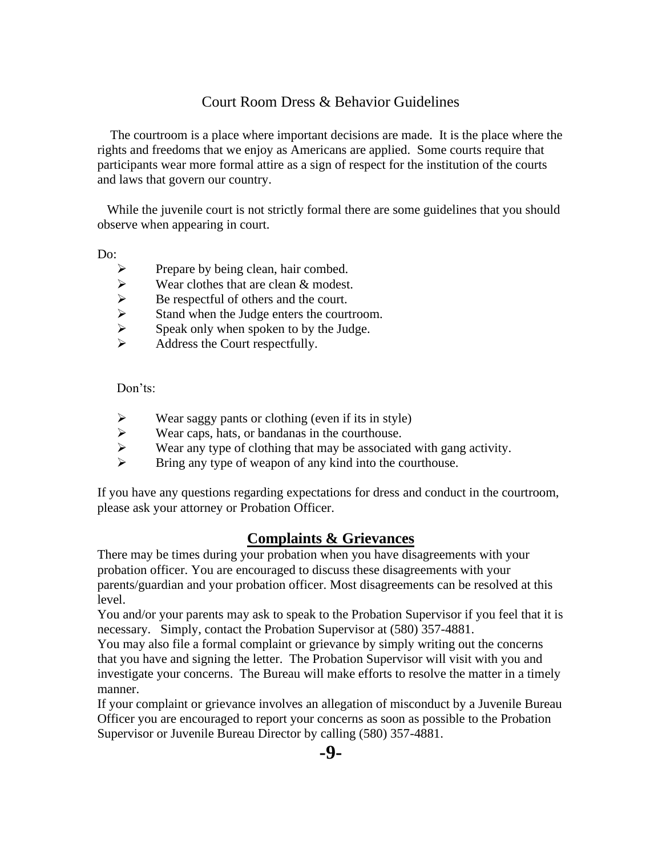## Court Room Dress & Behavior Guidelines

 The courtroom is a place where important decisions are made. It is the place where the rights and freedoms that we enjoy as Americans are applied. Some courts require that participants wear more formal attire as a sign of respect for the institution of the courts and laws that govern our country.

While the juvenile court is not strictly formal there are some guidelines that you should observe when appearing in court.

Do:

- 
- Wear clothes that are clean & modest.
- Be respectful of others and the court.
- → Prepare by being clean, hair combed.<br>
→ Wear clothes that are clean & modest<br>
→ Be respectful of others and the court.<br>
→ Stand when the Judge enters the court<br>
→ Speak only when spoken to by the Judge Stand when the Judge enters the courtroom.
- Speak only when spoken to by the Judge.
- ➢ Address the Court respectfully.

Don'ts:

- $\triangleright$  Wear saggy pants or clothing (even if its in style)
- ➢ Wear caps, hats, or bandanas in the courthouse.
- ➢ Wear any type of clothing that may be associated with gang activity.
- ➢ Bring any type of weapon of any kind into the courthouse.

If you have any questions regarding expectations for dress and conduct in the courtroom, please ask your attorney or Probation Officer.

#### **Complaints & Grievances**

There may be times during your probation when you have disagreements with your probation officer. You are encouraged to discuss these disagreements with your parents/guardian and your probation officer. Most disagreements can be resolved at this level.

You and/or your parents may ask to speak to the Probation Supervisor if you feel that it is necessary. Simply, contact the Probation Supervisor at (580) 357-4881.

You may also file a formal complaint or grievance by simply writing out the concerns that you have and signing the letter. The Probation Supervisor will visit with you and investigate your concerns. The Bureau will make efforts to resolve the matter in a timely manner.

If your complaint or grievance involves an allegation of misconduct by a Juvenile Bureau Officer you are encouraged to report your concerns as soon as possible to the Probation Supervisor or Juvenile Bureau Director by calling (580) 357-4881.